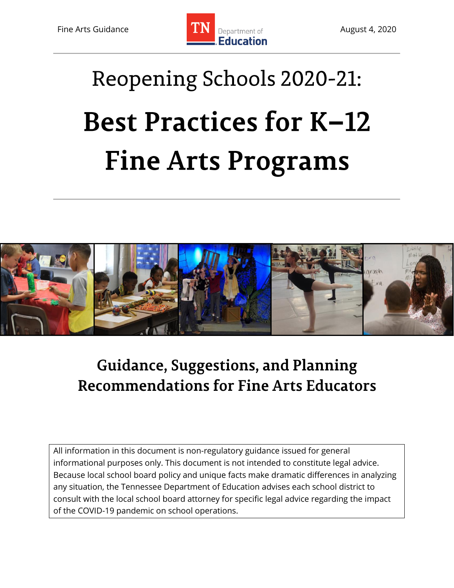

# Reopening Schools 2020-21: **Best Practices for K-12 Fine Arts Programs**



## **Guidance, Suggestions, and Planning Recommendations for Fine Arts Educators**

All information in this document is non-regulatory guidance issued for general informational purposes only. This document is not intended to constitute legal advice. Because local school board policy and unique facts make dramatic differences in analyzing any situation, the Tennessee Department of Education advises each school district to consult with the local school board attorney for specific legal advice regarding the impact of the COVID-19 pandemic on school operations.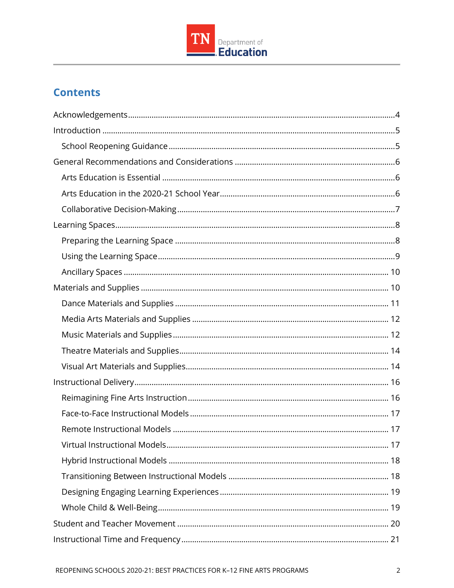

## **Contents**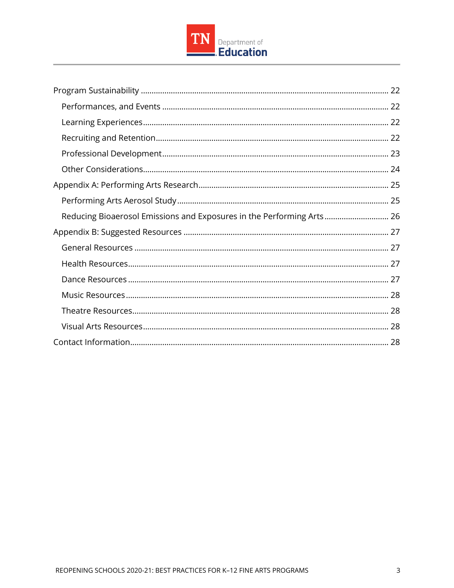

| Reducing Bioaerosol Emissions and Exposures in the Performing Arts 26 |
|-----------------------------------------------------------------------|
|                                                                       |
|                                                                       |
|                                                                       |
|                                                                       |
|                                                                       |
|                                                                       |
|                                                                       |
|                                                                       |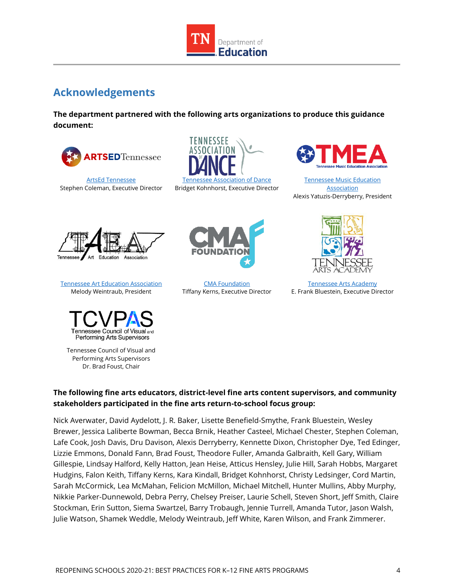

## <span id="page-3-0"></span>**Acknowledgements**

**The department partnered with the following arts organizations to produce this guidance document:**



[ArtsEd Tennessee](http://artsedtn.org/) Stephen Coleman, Executive Director





[Tennessee Music Education](https://www.tnmea.org/)  **[Association](https://www.tnmea.org/)** Alexis Yatuzis-Derryberry, President



[Tennessee Art Education Association](http://www.tnarteducation.org/) Melody Weintraub, President



Tennessee Council of Visual and Performing Arts Supervisors Dr. Brad Foust, Chair



[CMA Foundation](https://cmafoundation.org/) Tiffany Kerns, Executive Director



[Tennessee Arts Academy](http://www.tennesseeartsacademy.org/) E. Frank Bluestein, Executive Director

#### **The following fine arts educators, district-level fine arts content supervisors, and community stakeholders participated in the fine arts return-to-school focus group:**

Nick Averwater, David Aydelott, J. R. Baker, Lisette Benefield-Smythe, Frank Bluestein, Wesley Brewer, Jessica Laliberte Bowman, Becca Brnik, Heather Casteel, Michael Chester, Stephen Coleman, Lafe Cook, Josh Davis, Dru Davison, Alexis Derryberry, Kennette Dixon, Christopher Dye, Ted Edinger, Lizzie Emmons, Donald Fann, Brad Foust, Theodore Fuller, Amanda Galbraith, Kell Gary, William Gillespie, Lindsay Halford, Kelly Hatton, Jean Heise, Atticus Hensley, Julie Hill, Sarah Hobbs, Margaret Hudgins, Falon Keith, Tiffany Kerns, Kara Kindall, Bridget Kohnhorst, Christy Ledsinger, Cord Martin, Sarah McCormick, Lea McMahan, Felicion McMillon, Michael Mitchell, Hunter Mullins, Abby Murphy, Nikkie Parker-Dunnewold, Debra Perry, Chelsey Preiser, Laurie Schell, Steven Short, Jeff Smith, Claire Stockman, Erin Sutton, Siema Swartzel, Barry Trobaugh, Jennie Turrell, Amanda Tutor, Jason Walsh, Julie Watson, Shamek Weddle, Melody Weintraub, Jeff White, Karen Wilson, and Frank Zimmerer.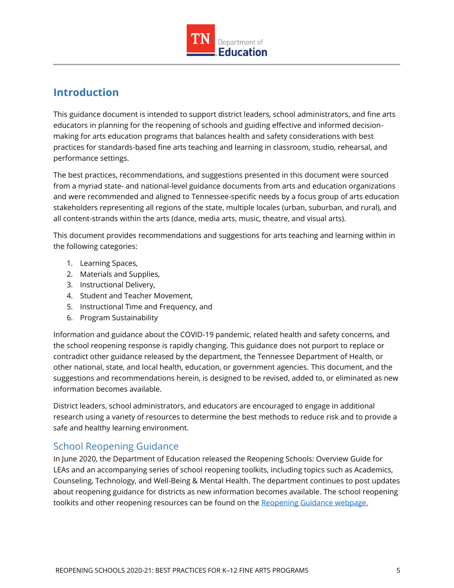

## <span id="page-4-0"></span>**Introduction**

This guidance document is intended to support district leaders, school administrators, and fine arts educators in planning for the reopening of schools and guiding effective and informed decisionmaking for arts education programs that balances health and safety considerations with best practices for standards-based fine arts teaching and learning in classroom, studio, rehearsal, and performance settings.

The best practices, recommendations, and suggestions presented in this document were sourced from a myriad state- and national-level guidance documents from arts and education organizations and were recommended and aligned to Tennessee-specific needs by a focus group of arts education stakeholders representing all regions of the state, multiple locales (urban, suburban, and rural), and all content-strands within the arts (dance, media arts, music, theatre, and visual arts).

This document provides recommendations and suggestions for arts teaching and learning within in the following categories:

- 1. Learning Spaces,
- 2. Materials and Supplies,
- 3. Instructional Delivery,
- 4. Student and Teacher Movement,
- 5. Instructional Time and Frequency, and
- 6. Program Sustainability

Information and guidance about the COVID-19 pandemic, related health and safety concerns, and the school reopening response is rapidly changing. This guidance does not purport to replace or contradict other guidance released by the department, the Tennessee Department of Health, or other national, state, and local health, education, or government agencies. This document, and the suggestions and recommendations herein, is designed to be revised, added to, or eliminated as new information becomes available.

District leaders, school administrators, and educators are encouraged to engage in additional research using a variety of resources to determine the best methods to reduce risk and to provide a safe and healthy learning environment.

## <span id="page-4-1"></span>School Reopening Guidance

In June 2020, the Department of Education released the Reopening Schools: Overview Guide for LEAs and an accompanying series of school reopening toolkits, including topics such as Academics, Counseling, Technology, and Well-Being & Mental Health. The department continues to post updates about reopening guidance for districts as new information becomes available. The school reopening toolkits and other reopening resources can be found on the [Reopening Guidance webpage.](https://www.tn.gov/education/health-and-safety/update-on-coronavirus/reopening-guidance.html)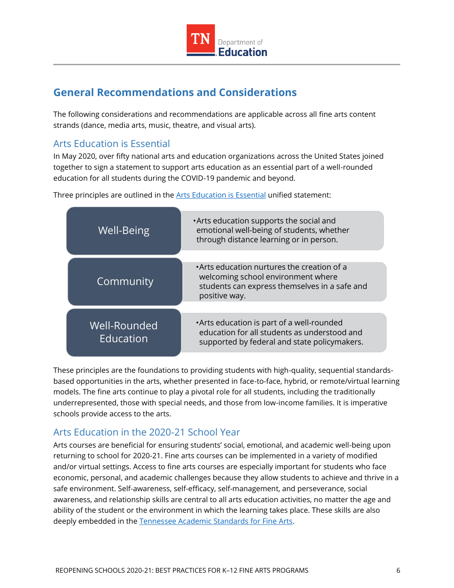

## <span id="page-5-0"></span>**General Recommendations and Considerations**

The following considerations and recommendations are applicable across all fine arts content strands (dance, media arts, music, theatre, and visual arts).

## <span id="page-5-1"></span>Arts Education is Essential

In May 2020, over fifty national arts and education organizations across the United States joined together to sign a statement to support arts education as an essential part of a well-rounded education for all students during the COVID-19 pandemic and beyond.

| <b>Well-Being</b>         | . Arts education supports the social and<br>emotional well-being of students, whether<br>through distance learning or in person.                   |
|---------------------------|----------------------------------------------------------------------------------------------------------------------------------------------------|
| Community                 | •Arts education nurtures the creation of a<br>welcoming school environment where<br>students can express themselves in a safe and<br>positive way. |
| Well-Rounded<br>Education | • Arts education is part of a well-rounded<br>education for all students as understood and<br>supported by federal and state policymakers.         |

Three principles are outlined in the [Arts Education is Essential](https://nafme.org/wp-content/files/2020/05/Arts_Education_Is_Essential-unified-statement-2.pdf) unified statement:

These principles are the foundations to providing students with high-quality, sequential standardsbased opportunities in the arts, whether presented in face-to-face, hybrid, or remote/virtual learning models. The fine arts continue to play a pivotal role for all students, including the traditionally underrepresented, those with special needs, and those from low-income families. It is imperative schools provide access to the arts.

## <span id="page-5-2"></span>Arts Education in the 2020-21 School Year

Arts courses are beneficial for ensuring students' social, emotional, and academic well-being upon returning to school for 2020-21. Fine arts courses can be implemented in a variety of modified and/or virtual settings. Access to fine arts courses are especially important for students who face economic, personal, and academic challenges because they allow students to achieve and thrive in a safe environment. Self-awareness, self-efficacy, self-management, and perseverance, social awareness, and relationship skills are central to all arts education activities, no matter the age and ability of the student or the environment in which the learning takes place. These skills are also deeply embedded in the [Tennessee Academic Standards for Fine Arts.](https://www.tn.gov/education/instruction/academic-standards/arts-education.html)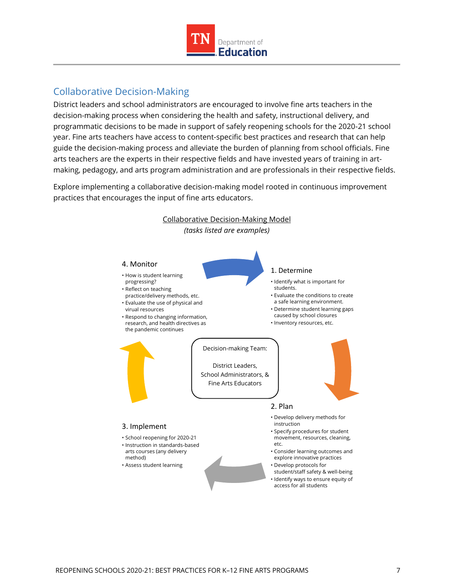

## <span id="page-6-0"></span>Collaborative Decision-Making

District leaders and school administrators are encouraged to involve fine arts teachers in the decision-making process when considering the health and safety, instructional delivery, and programmatic decisions to be made in support of safely reopening schools for the 2020-21 school year. Fine arts teachers have access to content-specific best practices and research that can help guide the decision-making process and alleviate the burden of planning from school officials. Fine arts teachers are the experts in their respective fields and have invested years of training in artmaking, pedagogy, and arts program administration and are professionals in their respective fields.

Explore implementing a collaborative decision-making model rooted in continuous improvement practices that encourages the input of fine arts educators.

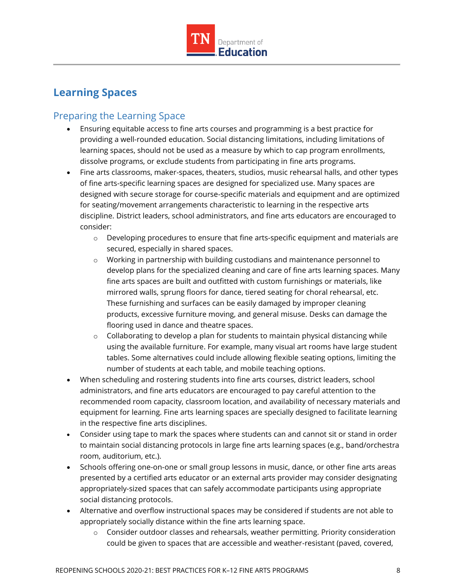

## <span id="page-7-0"></span>**Learning Spaces**

## <span id="page-7-1"></span>Preparing the Learning Space

- Ensuring equitable access to fine arts courses and programming is a best practice for providing a well-rounded education. Social distancing limitations, including limitations of learning spaces, should not be used as a measure by which to cap program enrollments, dissolve programs, or exclude students from participating in fine arts programs.
- Fine arts classrooms, maker-spaces, theaters, studios, music rehearsal halls, and other types of fine arts-specific learning spaces are designed for specialized use. Many spaces are designed with secure storage for course-specific materials and equipment and are optimized for seating/movement arrangements characteristic to learning in the respective arts discipline. District leaders, school administrators, and fine arts educators are encouraged to consider:
	- $\circ$  Developing procedures to ensure that fine arts-specific equipment and materials are secured, especially in shared spaces.
	- o Working in partnership with building custodians and maintenance personnel to develop plans for the specialized cleaning and care of fine arts learning spaces. Many fine arts spaces are built and outfitted with custom furnishings or materials, like mirrored walls, sprung floors for dance, tiered seating for choral rehearsal, etc. These furnishing and surfaces can be easily damaged by improper cleaning products, excessive furniture moving, and general misuse. Desks can damage the flooring used in dance and theatre spaces.
	- $\circ$  Collaborating to develop a plan for students to maintain physical distancing while using the available furniture. For example, many visual art rooms have large student tables. Some alternatives could include allowing flexible seating options, limiting the number of students at each table, and mobile teaching options.
- When scheduling and rostering students into fine arts courses, district leaders, school administrators, and fine arts educators are encouraged to pay careful attention to the recommended room capacity, classroom location, and availability of necessary materials and equipment for learning. Fine arts learning spaces are specially designed to facilitate learning in the respective fine arts disciplines.
- Consider using tape to mark the spaces where students can and cannot sit or stand in order to maintain social distancing protocols in large fine arts learning spaces (e.g., band/orchestra room, auditorium, etc.).
- Schools offering one-on-one or small group lessons in music, dance, or other fine arts areas presented by a certified arts educator or an external arts provider may consider designating appropriately-sized spaces that can safely accommodate participants using appropriate social distancing protocols.
- Alternative and overflow instructional spaces may be considered if students are not able to appropriately socially distance within the fine arts learning space.
	- $\circ$  Consider outdoor classes and rehearsals, weather permitting. Priority consideration could be given to spaces that are accessible and weather-resistant (paved, covered,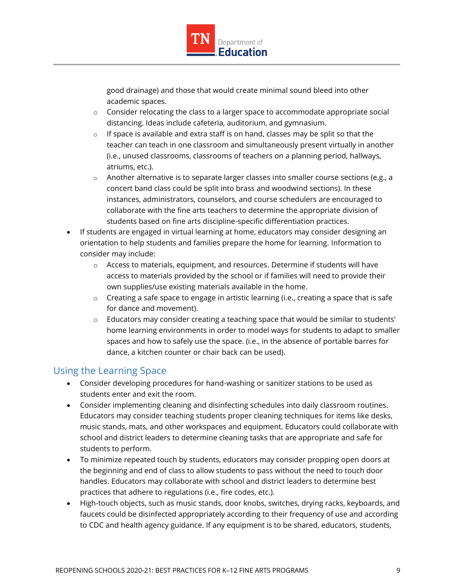

good drainage) and those that would create minimal sound bleed into other academic spaces.

- $\circ$  Consider relocating the class to a larger space to accommodate appropriate social distancing. Ideas include cafeteria, auditorium, and gymnasium.
- $\circ$  If space is available and extra staff is on hand, classes may be split so that the teacher can teach in one classroom and simultaneously present virtually in another (i.e., unused classrooms, classrooms of teachers on a planning period, hallways, atriums, etc.).
- $\circ$  Another alternative is to separate larger classes into smaller course sections (e.g., a concert band class could be split into brass and woodwind sections). In these instances, administrators, counselors, and course schedulers are encouraged to collaborate with the fine arts teachers to determine the appropriate division of students based on fine arts discipline-specific differentiation practices.
- If students are engaged in virtual learning at home, educators may consider designing an orientation to help students and families prepare the home for learning. Information to consider may include:
	- o Access to materials, equipment, and resources. Determine if students will have access to materials provided by the school or if families will need to provide their own supplies/use existing materials available in the home.
	- $\circ$  Creating a safe space to engage in artistic learning (i.e., creating a space that is safe for dance and movement).
	- $\circ$  Educators may consider creating a teaching space that would be similar to students' home learning environments in order to model ways for students to adapt to smaller spaces and how to safely use the space. (i.e., in the absence of portable barres for dance, a kitchen counter or chair back can be used).

## <span id="page-8-0"></span>Using the Learning Space

- Consider developing procedures for hand-washing or sanitizer stations to be used as students enter and exit the room.
- Consider implementing cleaning and disinfecting schedules into daily classroom routines. Educators may consider teaching students proper cleaning techniques for items like desks, music stands, mats, and other workspaces and equipment. Educators could collaborate with school and district leaders to determine cleaning tasks that are appropriate and safe for students to perform.
- To minimize repeated touch by students, educators may consider propping open doors at the beginning and end of class to allow students to pass without the need to touch door handles. Educators may collaborate with school and district leaders to determine best practices that adhere to regulations (i.e., fire codes, etc.).
- High-touch objects, such as music stands, door knobs, switches, drying racks, keyboards, and faucets could be disinfected appropriately according to their frequency of use and according to CDC and health agency guidance. If any equipment is to be shared, educators, students,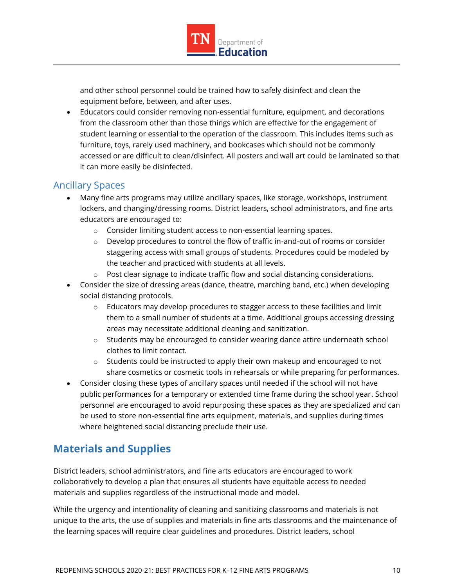

and other school personnel could be trained how to safely disinfect and clean the equipment before, between, and after uses.

 Educators could consider removing non-essential furniture, equipment, and decorations from the classroom other than those things which are effective for the engagement of student learning or essential to the operation of the classroom. This includes items such as furniture, toys, rarely used machinery, and bookcases which should not be commonly accessed or are difficult to clean/disinfect. All posters and wall art could be laminated so that it can more easily be disinfected.

## <span id="page-9-0"></span>Ancillary Spaces

- Many fine arts programs may utilize ancillary spaces, like storage, workshops, instrument lockers, and changing/dressing rooms. District leaders, school administrators, and fine arts educators are encouraged to:
	- o Consider limiting student access to non-essential learning spaces.
	- $\circ$  Develop procedures to control the flow of traffic in-and-out of rooms or consider staggering access with small groups of students. Procedures could be modeled by the teacher and practiced with students at all levels.
	- $\circ$  Post clear signage to indicate traffic flow and social distancing considerations.
- Consider the size of dressing areas (dance, theatre, marching band, etc.) when developing social distancing protocols.
	- $\circ$  Educators may develop procedures to stagger access to these facilities and limit them to a small number of students at a time. Additional groups accessing dressing areas may necessitate additional cleaning and sanitization.
	- $\circ$  Students may be encouraged to consider wearing dance attire underneath school clothes to limit contact.
	- o Students could be instructed to apply their own makeup and encouraged to not share cosmetics or cosmetic tools in rehearsals or while preparing for performances.
- Consider closing these types of ancillary spaces until needed if the school will not have public performances for a temporary or extended time frame during the school year. School personnel are encouraged to avoid repurposing these spaces as they are specialized and can be used to store non-essential fine arts equipment, materials, and supplies during times where heightened social distancing preclude their use.

## <span id="page-9-1"></span>**Materials and Supplies**

District leaders, school administrators, and fine arts educators are encouraged to work collaboratively to develop a plan that ensures all students have equitable access to needed materials and supplies regardless of the instructional mode and model.

While the urgency and intentionality of cleaning and sanitizing classrooms and materials is not unique to the arts, the use of supplies and materials in fine arts classrooms and the maintenance of the learning spaces will require clear guidelines and procedures. District leaders, school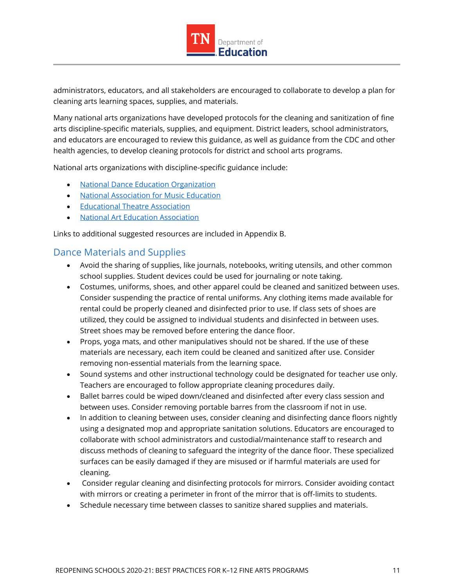

administrators, educators, and all stakeholders are encouraged to collaborate to develop a plan for cleaning arts learning spaces, supplies, and materials.

Many national arts organizations have developed protocols for the cleaning and sanitization of fine arts discipline-specific materials, supplies, and equipment. District leaders, school administrators, and educators are encouraged to review this guidance, as well as guidance from the CDC and other health agencies, to develop cleaning protocols for district and school arts programs.

National arts organizations with discipline-specific guidance include:

- [National Dance Education Organization](https://www.ndeo.org/)
- [National Association for Music Education](https://nafme.org/)
- **•** [Educational Theatre Association](https://www.schooltheatre.org/home)
- **[National Art Education Association](https://www.arteducators.org/)**

Links to additional suggested resources are included in Appendix B.

#### <span id="page-10-0"></span>Dance Materials and Supplies

- Avoid the sharing of supplies, like journals, notebooks, writing utensils, and other common school supplies. Student devices could be used for journaling or note taking.
- Costumes, uniforms, shoes, and other apparel could be cleaned and sanitized between uses. Consider suspending the practice of rental uniforms. Any clothing items made available for rental could be properly cleaned and disinfected prior to use. If class sets of shoes are utilized, they could be assigned to individual students and disinfected in between uses. Street shoes may be removed before entering the dance floor.
- Props, yoga mats, and other manipulatives should not be shared. If the use of these materials are necessary, each item could be cleaned and sanitized after use. Consider removing non-essential materials from the learning space.
- Sound systems and other instructional technology could be designated for teacher use only. Teachers are encouraged to follow appropriate cleaning procedures daily.
- Ballet barres could be wiped down/cleaned and disinfected after every class session and between uses. Consider removing portable barres from the classroom if not in use.
- In addition to cleaning between uses, consider cleaning and disinfecting dance floors nightly using a designated mop and appropriate sanitation solutions. Educators are encouraged to collaborate with school administrators and custodial/maintenance staff to research and discuss methods of cleaning to safeguard the integrity of the dance floor. These specialized surfaces can be easily damaged if they are misused or if harmful materials are used for cleaning.
- Consider regular cleaning and disinfecting protocols for mirrors. Consider avoiding contact with mirrors or creating a perimeter in front of the mirror that is off-limits to students.
- Schedule necessary time between classes to sanitize shared supplies and materials.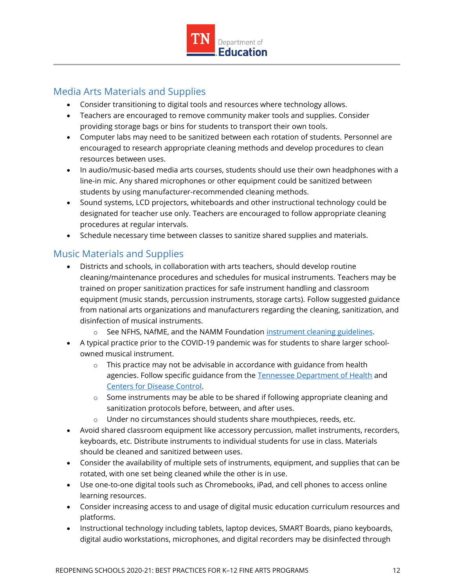

## <span id="page-11-0"></span>Media Arts Materials and Supplies

- Consider transitioning to digital tools and resources where technology allows.
- Teachers are encouraged to remove community maker tools and supplies. Consider providing storage bags or bins for students to transport their own tools.
- Computer labs may need to be sanitized between each rotation of students. Personnel are encouraged to research appropriate cleaning methods and develop procedures to clean resources between uses.
- In audio/music-based media arts courses, students should use their own headphones with a line-in mic. Any shared microphones or other equipment could be sanitized between students by using manufacturer-recommended cleaning methods.
- Sound systems, LCD projectors, whiteboards and other instructional technology could be designated for teacher use only. Teachers are encouraged to follow appropriate cleaning procedures at regular intervals.
- Schedule necessary time between classes to sanitize shared supplies and materials.

## <span id="page-11-1"></span>Music Materials and Supplies

- Districts and schools, in collaboration with arts teachers, should develop routine cleaning/maintenance procedures and schedules for musical instruments. Teachers may be trained on proper sanitization practices for safe instrument handling and classroom equipment (music stands, percussion instruments, storage carts). Follow suggested guidance from national arts organizations and manufacturers regarding the cleaning, sanitization, and disinfection of musical instruments.
	- o See NFHS, NAfME, and the NAMM Foundation [instrument cleaning guidelines.](https://nafme.org/covid-19-instrument-cleaning-guidelines/)
- A typical practice prior to the COVID-19 pandemic was for students to share larger schoolowned musical instrument.
	- $\circ$  This practice may not be advisable in accordance with guidance from health agencies. Follow specific guidance from the [Tennessee Department of Health](https://www.tn.gov/health.html) and [Centers for Disease Control.](https://www.cdc.gov/)
	- $\circ$  Some instruments may be able to be shared if following appropriate cleaning and sanitization protocols before, between, and after uses.
	- $\circ$  Under no circumstances should students share mouthpieces, reeds, etc.
- Avoid shared classroom equipment like accessory percussion, mallet instruments, recorders, keyboards, etc. Distribute instruments to individual students for use in class. Materials should be cleaned and sanitized between uses.
- Consider the availability of multiple sets of instruments, equipment, and supplies that can be rotated, with one set being cleaned while the other is in use.
- Use one-to-one digital tools such as Chromebooks, iPad, and cell phones to access online learning resources.
- Consider increasing access to and usage of digital music education curriculum resources and platforms.
- Instructional technology including tablets, laptop devices, SMART Boards, piano keyboards, digital audio workstations, microphones, and digital recorders may be disinfected through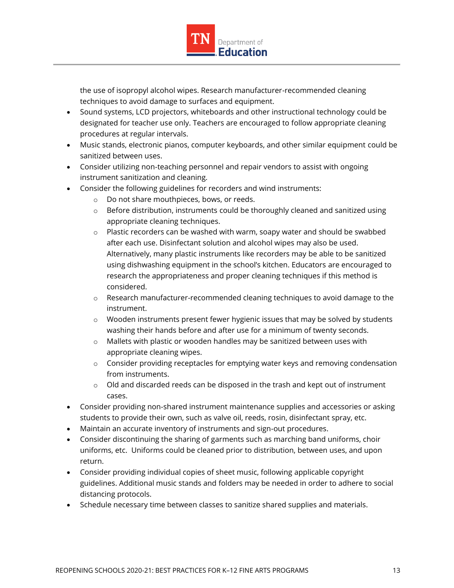

the use of isopropyl alcohol wipes. Research manufacturer-recommended cleaning techniques to avoid damage to surfaces and equipment.

- Sound systems, LCD projectors, whiteboards and other instructional technology could be designated for teacher use only. Teachers are encouraged to follow appropriate cleaning procedures at regular intervals.
- Music stands, electronic pianos, computer keyboards, and other similar equipment could be sanitized between uses.
- Consider utilizing non-teaching personnel and repair vendors to assist with ongoing instrument sanitization and cleaning.
- Consider the following guidelines for recorders and wind instruments:
	- o Do not share mouthpieces, bows, or reeds.
	- $\circ$  Before distribution, instruments could be thoroughly cleaned and sanitized using appropriate cleaning techniques.
	- o Plastic recorders can be washed with warm, soapy water and should be swabbed after each use. Disinfectant solution and alcohol wipes may also be used. Alternatively, many plastic instruments like recorders may be able to be sanitized using dishwashing equipment in the school's kitchen. Educators are encouraged to research the appropriateness and proper cleaning techniques if this method is considered.
	- o Research manufacturer-recommended cleaning techniques to avoid damage to the instrument.
	- $\circ$  Wooden instruments present fewer hygienic issues that may be solved by students washing their hands before and after use for a minimum of twenty seconds.
	- o Mallets with plastic or wooden handles may be sanitized between uses with appropriate cleaning wipes.
	- o Consider providing receptacles for emptying water keys and removing condensation from instruments.
	- $\circ$  Old and discarded reeds can be disposed in the trash and kept out of instrument cases.
- Consider providing non-shared instrument maintenance supplies and accessories or asking students to provide their own, such as valve oil, reeds, rosin, disinfectant spray, etc.
- Maintain an accurate inventory of instruments and sign-out procedures.
- Consider discontinuing the sharing of garments such as marching band uniforms, choir uniforms, etc. Uniforms could be cleaned prior to distribution, between uses, and upon return.
- Consider providing individual copies of sheet music, following applicable copyright guidelines. Additional music stands and folders may be needed in order to adhere to social distancing protocols.
- Schedule necessary time between classes to sanitize shared supplies and materials.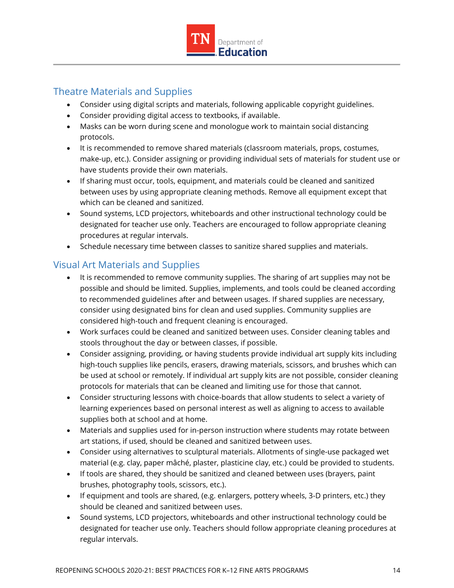

## <span id="page-13-0"></span>Theatre Materials and Supplies

- Consider using digital scripts and materials, following applicable copyright guidelines.
- Consider providing digital access to textbooks, if available.
- Masks can be worn during scene and monologue work to maintain social distancing protocols.
- It is recommended to remove shared materials (classroom materials, props, costumes, make-up, etc.). Consider assigning or providing individual sets of materials for student use or have students provide their own materials.
- If sharing must occur, tools, equipment, and materials could be cleaned and sanitized between uses by using appropriate cleaning methods. Remove all equipment except that which can be cleaned and sanitized.
- Sound systems, LCD projectors, whiteboards and other instructional technology could be designated for teacher use only. Teachers are encouraged to follow appropriate cleaning procedures at regular intervals.
- Schedule necessary time between classes to sanitize shared supplies and materials.

## <span id="page-13-1"></span>Visual Art Materials and Supplies

- It is recommended to remove community supplies. The sharing of art supplies may not be possible and should be limited. Supplies, implements, and tools could be cleaned according to recommended guidelines after and between usages. If shared supplies are necessary, consider using designated bins for clean and used supplies. Community supplies are considered high-touch and frequent cleaning is encouraged.
- Work surfaces could be cleaned and sanitized between uses. Consider cleaning tables and stools throughout the day or between classes, if possible.
- Consider assigning, providing, or having students provide individual art supply kits including high-touch supplies like pencils, erasers, drawing materials, scissors, and brushes which can be used at school or remotely. If individual art supply kits are not possible, consider cleaning protocols for materials that can be cleaned and limiting use for those that cannot.
- Consider structuring lessons with choice-boards that allow students to select a variety of learning experiences based on personal interest as well as aligning to access to available supplies both at school and at home.
- Materials and supplies used for in-person instruction where students may rotate between art stations, if used, should be cleaned and sanitized between uses.
- Consider using alternatives to sculptural materials. Allotments of single-use packaged wet material (e.g. clay, paper mâché, plaster, plasticine clay, etc.) could be provided to students.
- If tools are shared, they should be sanitized and cleaned between uses (brayers, paint brushes, photography tools, scissors, etc.).
- If equipment and tools are shared, (e.g. enlargers, pottery wheels, 3-D printers, etc.) they should be cleaned and sanitized between uses.
- Sound systems, LCD projectors, whiteboards and other instructional technology could be designated for teacher use only. Teachers should follow appropriate cleaning procedures at regular intervals.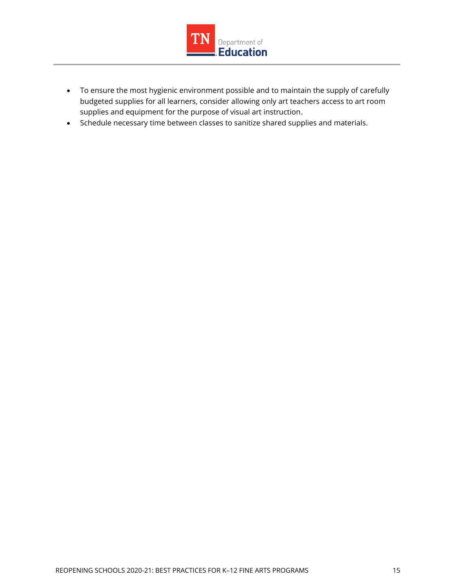

- To ensure the most hygienic environment possible and to maintain the supply of carefully budgeted supplies for all learners, consider allowing only art teachers access to art room supplies and equipment for the purpose of visual art instruction.
- Schedule necessary time between classes to sanitize shared supplies and materials.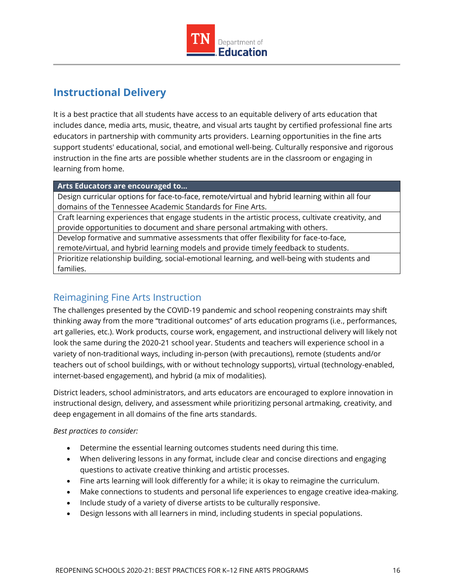

## <span id="page-15-0"></span>**Instructional Delivery**

It is a best practice that all students have access to an equitable delivery of arts education that includes dance, media arts, music, theatre, and visual arts taught by certified professional fine arts educators in partnership with community arts providers. Learning opportunities in the fine arts support students' educational, social, and emotional well-being. Culturally responsive and rigorous instruction in the fine arts are possible whether students are in the classroom or engaging in learning from home.

#### **Arts Educators are encouraged to…**

Design curricular options for face-to-face, remote/virtual and hybrid learning within all four domains of the Tennessee Academic Standards for Fine Arts.

Craft learning experiences that engage students in the artistic process, cultivate creativity, and provide opportunities to document and share personal artmaking with others.

Develop formative and summative assessments that offer flexibility for face-to-face, remote/virtual, and hybrid learning models and provide timely feedback to students.

Prioritize relationship building, social-emotional learning, and well-being with students and families.

## <span id="page-15-1"></span>Reimagining Fine Arts Instruction

The challenges presented by the COVID-19 pandemic and school reopening constraints may shift thinking away from the more "traditional outcomes" of arts education programs (i.e., performances, art galleries, etc.). Work products, course work, engagement, and instructional delivery will likely not look the same during the 2020-21 school year. Students and teachers will experience school in a variety of non-traditional ways, including in-person (with precautions), remote (students and/or teachers out of school buildings, with or without technology supports), virtual (technology-enabled, internet-based engagement), and hybrid (a mix of modalities).

District leaders, school administrators, and arts educators are encouraged to explore innovation in instructional design, delivery, and assessment while prioritizing personal artmaking, creativity, and deep engagement in all domains of the fine arts standards.

*Best practices to consider:* 

- Determine the essential learning outcomes students need during this time.
- When delivering lessons in any format, include clear and concise directions and engaging questions to activate creative thinking and artistic processes.
- Fine arts learning will look differently for a while; it is okay to reimagine the curriculum.
- Make connections to students and personal life experiences to engage creative idea-making.
- Include study of a variety of diverse artists to be culturally responsive.
- Design lessons with all learners in mind, including students in special populations.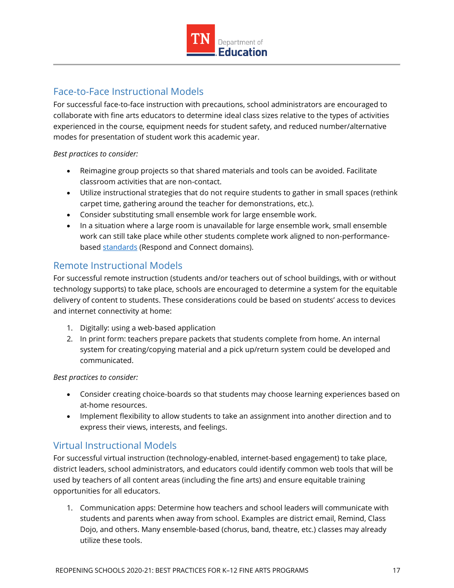

## <span id="page-16-0"></span>Face-to-Face Instructional Models

For successful face-to-face instruction with precautions, school administrators are encouraged to collaborate with fine arts educators to determine ideal class sizes relative to the types of activities experienced in the course, equipment needs for student safety, and reduced number/alternative modes for presentation of student work this academic year.

#### *Best practices to consider:*

- Reimagine group projects so that shared materials and tools can be avoided. Facilitate classroom activities that are non-contact.
- Utilize instructional strategies that do not require students to gather in small spaces (rethink carpet time, gathering around the teacher for demonstrations, etc.).
- Consider substituting small ensemble work for large ensemble work.
- In a situation where a large room is unavailable for large ensemble work, small ensemble work can still take place while other students complete work aligned to non-performancebased [standards](https://www.tn.gov/education/instruction/academic-standards/arts-education.html) (Respond and Connect domains).

## <span id="page-16-1"></span>Remote Instructional Models

For successful remote instruction (students and/or teachers out of school buildings, with or without technology supports) to take place, schools are encouraged to determine a system for the equitable delivery of content to students. These considerations could be based on students' access to devices and internet connectivity at home:

- 1. Digitally: using a web-based application
- 2. In print form: teachers prepare packets that students complete from home. An internal system for creating/copying material and a pick up/return system could be developed and communicated.

#### *Best practices to consider:*

- Consider creating choice-boards so that students may choose learning experiences based on at-home resources.
- Implement flexibility to allow students to take an assignment into another direction and to express their views, interests, and feelings.

## <span id="page-16-2"></span>Virtual Instructional Models

For successful virtual instruction (technology-enabled, internet-based engagement) to take place, district leaders, school administrators, and educators could identify common web tools that will be used by teachers of all content areas (including the fine arts) and ensure equitable training opportunities for all educators.

1. Communication apps: Determine how teachers and school leaders will communicate with students and parents when away from school. Examples are district email, Remind, Class Dojo, and others. Many ensemble-based (chorus, band, theatre, etc.) classes may already utilize these tools.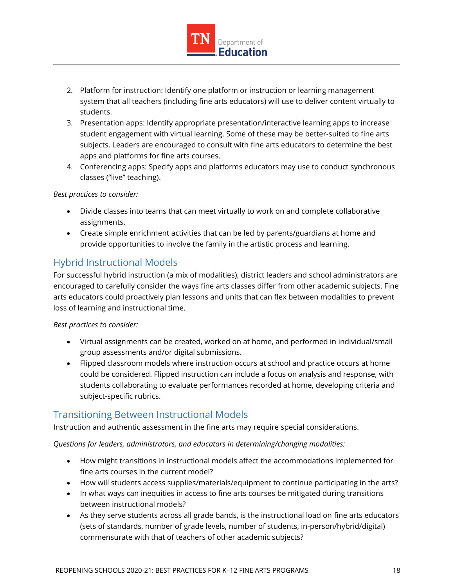

- 2. Platform for instruction: Identify one platform or instruction or learning management system that all teachers (including fine arts educators) will use to deliver content virtually to students.
- 3. Presentation apps: Identify appropriate presentation/interactive learning apps to increase student engagement with virtual learning. Some of these may be better-suited to fine arts subjects. Leaders are encouraged to consult with fine arts educators to determine the best apps and platforms for fine arts courses.
- 4. Conferencing apps: Specify apps and platforms educators may use to conduct synchronous classes ("live" teaching).

#### *Best practices to consider:*

- Divide classes into teams that can meet virtually to work on and complete collaborative assignments.
- Create simple enrichment activities that can be led by parents/guardians at home and provide opportunities to involve the family in the artistic process and learning.

## <span id="page-17-0"></span>Hybrid Instructional Models

For successful hybrid instruction (a mix of modalities), district leaders and school administrators are encouraged to carefully consider the ways fine arts classes differ from other academic subjects. Fine arts educators could proactively plan lessons and units that can flex between modalities to prevent loss of learning and instructional time.

#### *Best practices to consider:*

- Virtual assignments can be created, worked on at home, and performed in individual/small group assessments and/or digital submissions.
- Flipped classroom models where instruction occurs at school and practice occurs at home could be considered. Flipped instruction can include a focus on analysis and response, with students collaborating to evaluate performances recorded at home, developing criteria and subject-specific rubrics.

## <span id="page-17-1"></span>Transitioning Between Instructional Models

Instruction and authentic assessment in the fine arts may require special considerations.

*Questions for leaders, administrators, and educators in determining/changing modalities:*

- How might transitions in instructional models affect the accommodations implemented for fine arts courses in the current model?
- How will students access supplies/materials/equipment to continue participating in the arts?
- In what ways can inequities in access to fine arts courses be mitigated during transitions between instructional models?
- As they serve students across all grade bands, is the instructional load on fine arts educators (sets of standards, number of grade levels, number of students, in-person/hybrid/digital) commensurate with that of teachers of other academic subjects?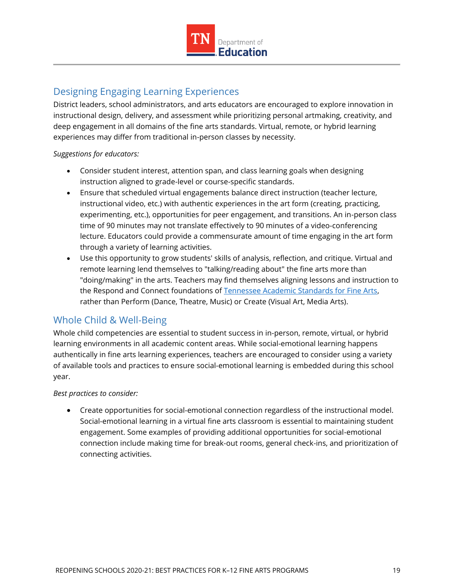

## <span id="page-18-0"></span>Designing Engaging Learning Experiences

District leaders, school administrators, and arts educators are encouraged to explore innovation in instructional design, delivery, and assessment while prioritizing personal artmaking, creativity, and deep engagement in all domains of the fine arts standards. Virtual, remote, or hybrid learning experiences may differ from traditional in-person classes by necessity.

#### *Suggestions for educators:*

- Consider student interest, attention span, and class learning goals when designing instruction aligned to grade-level or course-specific standards.
- Ensure that scheduled virtual engagements balance direct instruction (teacher lecture, instructional video, etc.) with authentic experiences in the art form (creating, practicing, experimenting, etc.), opportunities for peer engagement, and transitions. An in-person class time of 90 minutes may not translate effectively to 90 minutes of a video-conferencing lecture. Educators could provide a commensurate amount of time engaging in the art form through a variety of learning activities.
- Use this opportunity to grow students' skills of analysis, reflection, and critique. Virtual and remote learning lend themselves to "talking/reading about" the fine arts more than "doing/making" in the arts. Teachers may find themselves aligning lessons and instruction to the Respond and Connect foundations of [Tennessee Academic Standards for Fine Arts,](https://www.tn.gov/education/instruction/academic-standards/arts-education.html) rather than Perform (Dance, Theatre, Music) or Create (Visual Art, Media Arts).

## <span id="page-18-1"></span>Whole Child & Well-Being

Whole child competencies are essential to student success in in-person, remote, virtual, or hybrid learning environments in all academic content areas. While social-emotional learning happens authentically in fine arts learning experiences, teachers are encouraged to consider using a variety of available tools and practices to ensure social-emotional learning is embedded during this school year.

#### *Best practices to consider:*

 Create opportunities for social-emotional connection regardless of the instructional model. Social-emotional learning in a virtual fine arts classroom is essential to maintaining student engagement. Some examples of providing additional opportunities for social-emotional connection include making time for break-out rooms, general check-ins, and prioritization of connecting activities.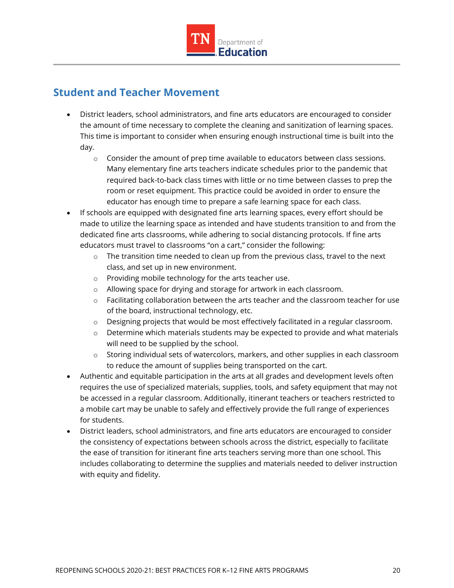

## <span id="page-19-0"></span>**Student and Teacher Movement**

- District leaders, school administrators, and fine arts educators are encouraged to consider the amount of time necessary to complete the cleaning and sanitization of learning spaces. This time is important to consider when ensuring enough instructional time is built into the day.
	- $\circ$  Consider the amount of prep time available to educators between class sessions. Many elementary fine arts teachers indicate schedules prior to the pandemic that required back-to-back class times with little or no time between classes to prep the room or reset equipment. This practice could be avoided in order to ensure the educator has enough time to prepare a safe learning space for each class.
- If schools are equipped with designated fine arts learning spaces, every effort should be made to utilize the learning space as intended and have students transition to and from the dedicated fine arts classrooms, while adhering to social distancing protocols. If fine arts educators must travel to classrooms "on a cart," consider the following:
	- $\circ$  The transition time needed to clean up from the previous class, travel to the next class, and set up in new environment.
	- o Providing mobile technology for the arts teacher use.
	- o Allowing space for drying and storage for artwork in each classroom.
	- $\circ$  Facilitating collaboration between the arts teacher and the classroom teacher for use of the board, instructional technology, etc.
	- o Designing projects that would be most effectively facilitated in a regular classroom.
	- $\circ$  Determine which materials students may be expected to provide and what materials will need to be supplied by the school.
	- o Storing individual sets of watercolors, markers, and other supplies in each classroom to reduce the amount of supplies being transported on the cart.
- Authentic and equitable participation in the arts at all grades and development levels often requires the use of specialized materials, supplies, tools, and safety equipment that may not be accessed in a regular classroom. Additionally, itinerant teachers or teachers restricted to a mobile cart may be unable to safely and effectively provide the full range of experiences for students.
- District leaders, school administrators, and fine arts educators are encouraged to consider the consistency of expectations between schools across the district, especially to facilitate the ease of transition for itinerant fine arts teachers serving more than one school. This includes collaborating to determine the supplies and materials needed to deliver instruction with equity and fidelity.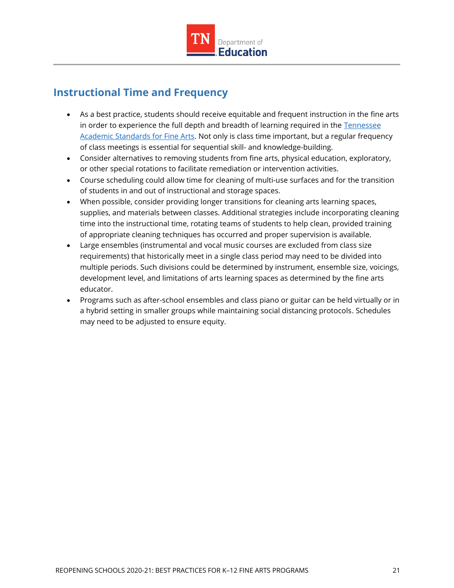

## <span id="page-20-0"></span>**Instructional Time and Frequency**

- As a best practice, students should receive equitable and frequent instruction in the fine arts in order to experience the full depth and breadth of learning required in the Tennessee [Academic Standards for Fine Arts.](https://www.tn.gov/education/instruction/academic-standards/arts-education.html) Not only is class time important, but a regular frequency of class meetings is essential for sequential skill- and knowledge-building.
- Consider alternatives to removing students from fine arts, physical education, exploratory, or other special rotations to facilitate remediation or intervention activities.
- Course scheduling could allow time for cleaning of multi-use surfaces and for the transition of students in and out of instructional and storage spaces.
- When possible, consider providing longer transitions for cleaning arts learning spaces, supplies, and materials between classes. Additional strategies include incorporating cleaning time into the instructional time, rotating teams of students to help clean, provided training of appropriate cleaning techniques has occurred and proper supervision is available.
- Large ensembles (instrumental and vocal music courses are excluded from class size requirements) that historically meet in a single class period may need to be divided into multiple periods. Such divisions could be determined by instrument, ensemble size, voicings, development level, and limitations of arts learning spaces as determined by the fine arts educator.
- Programs such as after-school ensembles and class piano or guitar can be held virtually or in a hybrid setting in smaller groups while maintaining social distancing protocols. Schedules may need to be adjusted to ensure equity.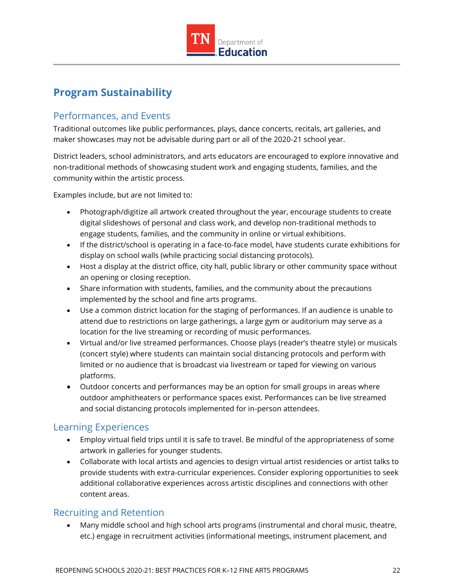

## <span id="page-21-0"></span>**Program Sustainability**

## <span id="page-21-1"></span>Performances, and Events

Traditional outcomes like public performances, plays, dance concerts, recitals, art galleries, and maker showcases may not be advisable during part or all of the 2020-21 school year.

District leaders, school administrators, and arts educators are encouraged to explore innovative and non-traditional methods of showcasing student work and engaging students, families, and the community within the artistic process.

Examples include, but are not limited to:

- Photograph/digitize all artwork created throughout the year, encourage students to create digital slideshows of personal and class work, and develop non-traditional methods to engage students, families, and the community in online or virtual exhibitions.
- If the district/school is operating in a face-to-face model, have students curate exhibitions for display on school walls (while practicing social distancing protocols).
- Host a display at the district office, city hall, public library or other community space without an opening or closing reception.
- Share information with students, families, and the community about the precautions implemented by the school and fine arts programs.
- Use a common district location for the staging of performances. If an audience is unable to attend due to restrictions on large gatherings, a large gym or auditorium may serve as a location for the live streaming or recording of music performances.
- Virtual and/or live streamed performances. Choose plays (reader's theatre style) or musicals (concert style) where students can maintain social distancing protocols and perform with limited or no audience that is broadcast via livestream or taped for viewing on various platforms.
- Outdoor concerts and performances may be an option for small groups in areas where outdoor amphitheaters or performance spaces exist. Performances can be live streamed and social distancing protocols implemented for in-person attendees.

#### <span id="page-21-2"></span>Learning Experiences

- Employ virtual field trips until it is safe to travel. Be mindful of the appropriateness of some artwork in galleries for younger students.
- Collaborate with local artists and agencies to design virtual artist residencies or artist talks to provide students with extra-curricular experiences. Consider exploring opportunities to seek additional collaborative experiences across artistic disciplines and connections with other content areas.

#### <span id="page-21-3"></span>Recruiting and Retention

 Many middle school and high school arts programs (instrumental and choral music, theatre, etc.) engage in recruitment activities (informational meetings, instrument placement, and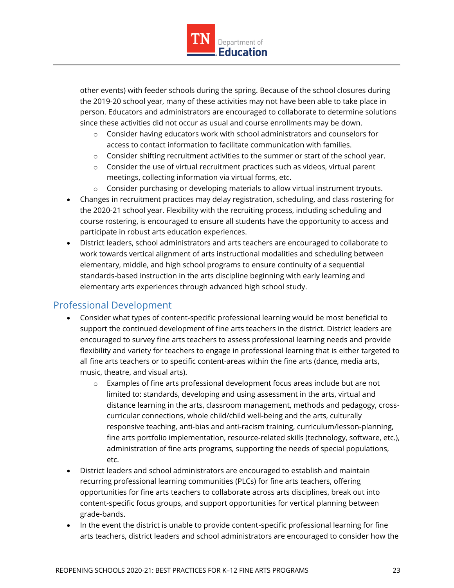

other events) with feeder schools during the spring. Because of the school closures during the 2019-20 school year, many of these activities may not have been able to take place in person. Educators and administrators are encouraged to collaborate to determine solutions since these activities did not occur as usual and course enrollments may be down.

- $\circ$  Consider having educators work with school administrators and counselors for access to contact information to facilitate communication with families.
- $\circ$  Consider shifting recruitment activities to the summer or start of the school year.
- $\circ$  Consider the use of virtual recruitment practices such as videos, virtual parent meetings, collecting information via virtual forms, etc.
- $\circ$  Consider purchasing or developing materials to allow virtual instrument tryouts.
- Changes in recruitment practices may delay registration, scheduling, and class rostering for the 2020-21 school year. Flexibility with the recruiting process, including scheduling and course rostering, is encouraged to ensure all students have the opportunity to access and participate in robust arts education experiences.
- District leaders, school administrators and arts teachers are encouraged to collaborate to work towards vertical alignment of arts instructional modalities and scheduling between elementary, middle, and high school programs to ensure continuity of a sequential standards-based instruction in the arts discipline beginning with early learning and elementary arts experiences through advanced high school study.

#### <span id="page-22-0"></span>Professional Development

- Consider what types of content-specific professional learning would be most beneficial to support the continued development of fine arts teachers in the district. District leaders are encouraged to survey fine arts teachers to assess professional learning needs and provide flexibility and variety for teachers to engage in professional learning that is either targeted to all fine arts teachers or to specific content-areas within the fine arts (dance, media arts, music, theatre, and visual arts).
	- o Examples of fine arts professional development focus areas include but are not limited to: standards, developing and using assessment in the arts, virtual and distance learning in the arts, classroom management, methods and pedagogy, crosscurricular connections, whole child/child well-being and the arts, culturally responsive teaching, anti-bias and anti-racism training, curriculum/lesson-planning, fine arts portfolio implementation, resource-related skills (technology, software, etc.), administration of fine arts programs, supporting the needs of special populations, etc.
- District leaders and school administrators are encouraged to establish and maintain recurring professional learning communities (PLCs) for fine arts teachers, offering opportunities for fine arts teachers to collaborate across arts disciplines, break out into content-specific focus groups, and support opportunities for vertical planning between grade-bands.
- In the event the district is unable to provide content-specific professional learning for fine arts teachers, district leaders and school administrators are encouraged to consider how the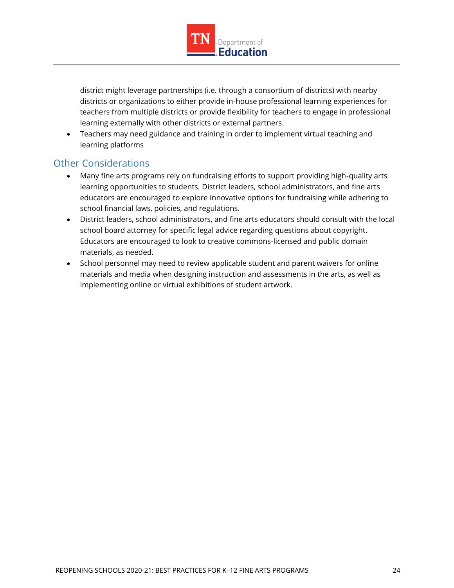

district might leverage partnerships (i.e. through a consortium of districts) with nearby districts or organizations to either provide in-house professional learning experiences for teachers from multiple districts or provide flexibility for teachers to engage in professional learning externally with other districts or external partners.

 Teachers may need guidance and training in order to implement virtual teaching and learning platforms

## <span id="page-23-0"></span>Other Considerations

- Many fine arts programs rely on fundraising efforts to support providing high-quality arts learning opportunities to students. District leaders, school administrators, and fine arts educators are encouraged to explore innovative options for fundraising while adhering to school financial laws, policies, and regulations.
- District leaders, school administrators, and fine arts educators should consult with the local school board attorney for specific legal advice regarding questions about copyright. Educators are encouraged to look to creative commons-licensed and public domain materials, as needed.
- School personnel may need to review applicable student and parent waivers for online materials and media when designing instruction and assessments in the arts, as well as implementing online or virtual exhibitions of student artwork.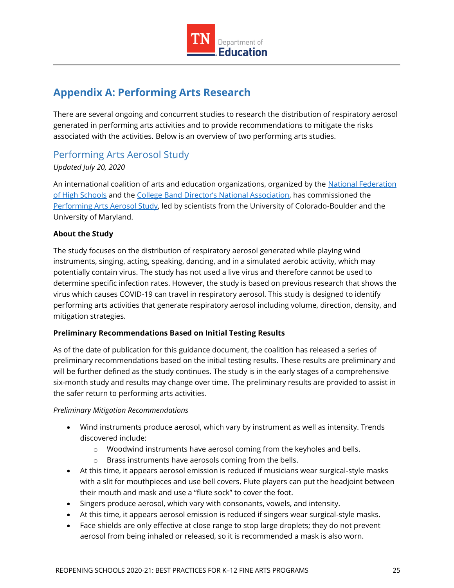

## <span id="page-24-0"></span>**Appendix A: Performing Arts Research**

There are several ongoing and concurrent studies to research the distribution of respiratory aerosol generated in performing arts activities and to provide recommendations to mitigate the risks associated with the activities. Below is an overview of two performing arts studies.

### <span id="page-24-1"></span>Performing Arts Aerosol Study

#### *Updated July 20, 2020*

An international coalition of arts and education organizations, organized by the National Federation [of High Schools](https://www.nfhs.org/) and the [College Band Director's National Association](https://www.cbdna.org/), has commissioned the [Performing Arts](https://www.nfhs.org/articles/unprecedented-international-coalition-led-by-performing-arts-organizations-to-commission-covid-19-study/) Aerosol Study, led by scientists from the University of Colorado-Boulder and the University of Maryland.

#### **About the Study**

The study focuses on the distribution of respiratory aerosol generated while playing wind instruments, singing, acting, speaking, dancing, and in a simulated aerobic activity, which may potentially contain virus. The study has not used a live virus and therefore cannot be used to determine specific infection rates. However, the study is based on previous research that shows the virus which causes COVID-19 can travel in respiratory aerosol. This study is designed to identify performing arts activities that generate respiratory aerosol including volume, direction, density, and mitigation strategies.

#### **Preliminary Recommendations Based on Initial Testing Results**

As of the date of publication for this guidance document, the coalition has released a series of preliminary recommendations based on the initial testing results. These results are preliminary and will be further defined as the study continues. The study is in the early stages of a comprehensive six-month study and results may change over time. The preliminary results are provided to assist in the safer return to performing arts activities.

#### *Preliminary Mitigation Recommendations*

- Wind instruments produce aerosol, which vary by instrument as well as intensity. Trends discovered include:
	- o Woodwind instruments have aerosol coming from the keyholes and bells.
	- o Brass instruments have aerosols coming from the bells.
- At this time, it appears aerosol emission is reduced if musicians wear surgical-style masks with a slit for mouthpieces and use bell covers. Flute players can put the headjoint between their mouth and mask and use a "flute sock" to cover the foot.
- Singers produce aerosol, which vary with consonants, vowels, and intensity.
- At this time, it appears aerosol emission is reduced if singers wear surgical-style masks.
- Face shields are only effective at close range to stop large droplets; they do not prevent aerosol from being inhaled or released, so it is recommended a mask is also worn.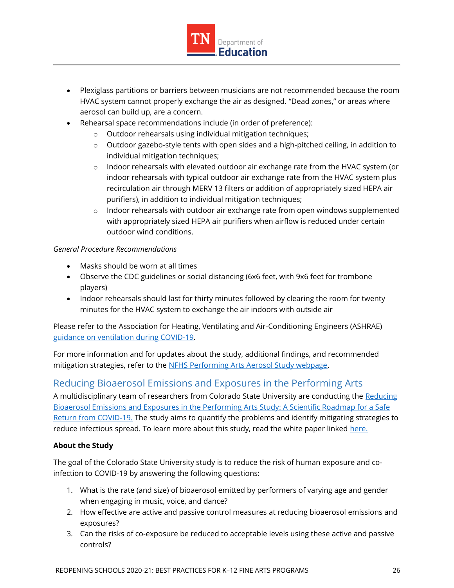

- Plexiglass partitions or barriers between musicians are not recommended because the room HVAC system cannot properly exchange the air as designed. "Dead zones," or areas where aerosol can build up, are a concern.
- Rehearsal space recommendations include (in order of preference):
	- o Outdoor rehearsals using individual mitigation techniques;
	- $\circ$  Outdoor gazebo-style tents with open sides and a high-pitched ceiling, in addition to individual mitigation techniques;
	- $\circ$  Indoor rehearsals with elevated outdoor air exchange rate from the HVAC system (or indoor rehearsals with typical outdoor air exchange rate from the HVAC system plus recirculation air through MERV 13 filters or addition of appropriately sized HEPA air purifiers), in addition to individual mitigation techniques;
	- $\circ$  Indoor rehearsals with outdoor air exchange rate from open windows supplemented with appropriately sized HEPA air purifiers when airflow is reduced under certain outdoor wind conditions.

#### *General Procedure Recommendations*

- Masks should be worn at all times
- Observe the CDC guidelines or social distancing (6x6 feet, with 9x6 feet for trombone players)
- Indoor rehearsals should last for thirty minutes followed by clearing the room for twenty minutes for the HVAC system to exchange the air indoors with outside air

Please refer to the Association for Heating, Ventilating and Air-Conditioning Engineers (ASHRAE) [guidance on ventilation](https://www.ashrae.org/technical-resources/resources) during COVID-19.

For more information and for updates about the study, additional findings, and recommended mitigation strategies, refer to the [NFHS Performing Arts Aerosol Study webpage.](https://www.nfhs.org/articles/unprecedented-international-coalition-led-by-performing-arts-organizations-to-commission-covid-19-study/)

## <span id="page-25-0"></span>Reducing Bioaerosol Emissions and Exposures in the Performing Arts

A multidisciplinary team of researchers from Colorado State University are conducting the Reducing [Bioaerosol Emissions and Exposures in the Performing Arts Study: A Scientific Roadmap for a Safe](https://smtd.colostate.edu/reducing-bioaerosol-emissions-and-exposures-in-the-performing-arts/)  [Return from COVID-19.](https://smtd.colostate.edu/reducing-bioaerosol-emissions-and-exposures-in-the-performing-arts/) The study aims to quantify the problems and identify mitigating strategies to reduce infectious spread. To learn more about this study, read the white paper linked [here.](https://smtd.colostate.edu/wp-content/uploads/sites/34/2020/05/CSU-Performing-Arts-Aerosol-Study-v3.pdf)

#### **About the Study**

The goal of the Colorado State University study is to reduce the risk of human exposure and coinfection to COVID-19 by answering the following questions:

- 1. What is the rate (and size) of bioaerosol emitted by performers of varying age and gender when engaging in music, voice, and dance?
- 2. How effective are active and passive control measures at reducing bioaerosol emissions and exposures?
- 3. Can the risks of co-exposure be reduced to acceptable levels using these active and passive controls?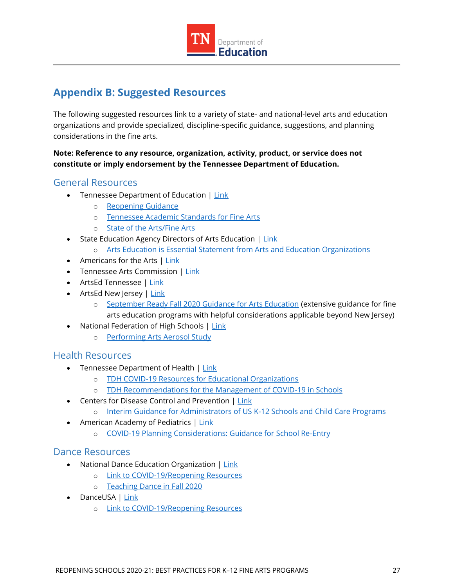

## <span id="page-26-0"></span>**Appendix B: Suggested Resources**

The following suggested resources link to a variety of state- and national-level arts and education organizations and provide specialized, discipline-specific guidance, suggestions, and planning considerations in the fine arts.

**Note: Reference to any resource, organization, activity, product, or service does not constitute or imply endorsement by the Tennessee Department of Education.**

#### <span id="page-26-1"></span>General Resources

- Tennessee Department of Education | [Link](https://www.tn.gov/education)
	- o [Reopening Guidance](https://www.tn.gov/education/health-and-safety/update-on-coronavirus/reopening-guidance.html)
	- o [Tennessee Academic Standards for Fine Arts](https://www.tn.gov/education/instruction/academic-standards/arts-education.html)
	- o [State of the Arts/Fine Arts](https://www.tn.gov/education/state-of-the-arts--sota-.html)
- State Education Agency Directors of Arts Education | [Link](https://www.seadae.org/)
	- o [Arts Education is Essential Statement from Arts and Education Organizations](https://nafme.org/wp-content/files/2020/05/Arts_Education_Is_Essential-unified-statement-2.pdf)
- $\bullet$  Americans for the Arts  $|\text{Link}|$
- Tennessee Arts Commission | [Link](https://tnartscommission.org/)
- ArtsEd Tennessee | [Link](http://artsedtn.org/)
- ArtsEd New Jersey | [Link](https://www.artsednj.org/)
	- o [September Ready Fall 2020 Guidance for Arts Education](https://www.artsednj.org/arts-ed-nj-issues-september-ready-fall-2020-guidance-for-arts-education/) (extensive guidance for fine arts education programs with helpful considerations applicable beyond New Jersey)
- National Federation of High Schools | [Link](https://www.nfhs.org/articles/unprecedented-international-coalition-led-by-performing-arts-organizations-to-commission-covid-19-study/)
	- o [Performing Arts Aerosol Study](https://www.nfhs.org/articles/unprecedented-international-coalition-led-by-performing-arts-organizations-to-commission-covid-19-study/)

#### <span id="page-26-2"></span>Health Resources

- Tennessee Department of Health | [Link](https://www.tn.gov/health/cedep/ncov/educational-orgs.html)
	- o [TDH COVID-19 Resources for Educational Organizations](https://www.tn.gov/health/cedep/ncov/educational-orgs.html)
	- o [TDH Recommendations for the Management of COVID-19 in Schools](https://www.tn.gov/content/dam/tn/health/documents/cedep/novel-coronavirus/School_Recommendations.pdf)
- Centers for Disease Control and Prevention | [Link](https://www.cdc.gov/)
	- o [Interim Guidance for Administrators of US K-12 Schools and Child Care Programs](https://www.cdc.gov/coronavirus/2019-ncov/community/schools-childcare/guidance-for-schools.html?CDC_AA_refVal=https%3A%2F%2Fwww.cdc.gov%2Fcoronavirus%2F2019-ncov%2Fspecific-groups%2Fguidance-for-schools.html)
- American Academy of Pediatrics | [Link](https://www.aap.org/en-us/Pages/Default.aspx)
	- o [COVID-19 Planning Considerations: Guidance for School Re-Entry](https://services.aap.org/en/pages/2019-novel-coronavirus-covid-19-infections/clinical-guidance/covid-19-planning-considerations-return-to-in-person-education-in-schools/)

#### <span id="page-26-3"></span>Dance Resources

- National Dance Education Organization [| Link](https://www.ndeo.org/)
	- o [Link to COVID-19/Reopening Resources](https://www.ndeo.org/content.aspx?page_id=22&club_id=893257&module_id=395469)
	- o [Teaching Dance in Fall 2020](https://s3.amazonaws.com/ClubExpressClubFiles/893257/documents/Teaching_Dance_in_Fall_2020_-_Final_7-1-20_388045246.pdf?AWSAccessKeyId=AKIA6MYUE6DNNNCCDT4J&Expires=1595272115&response-content-disposition=inline%3B%20filename%3DTeaching_Dance_in_Fall_2020_-_Final_7-1-20.pdf&Signature=HoK0HLflKef6SWFDP4m%2BI4coZWE%3D)
- DanceUSA | [Link](https://www.danceusa.org/resources-preparing-potential-impact-coronavirus)
	- o [Link to COVID-19/Reopening Resources](https://www.danceusa.org/resources-preparing-potential-impact-coronavirus)